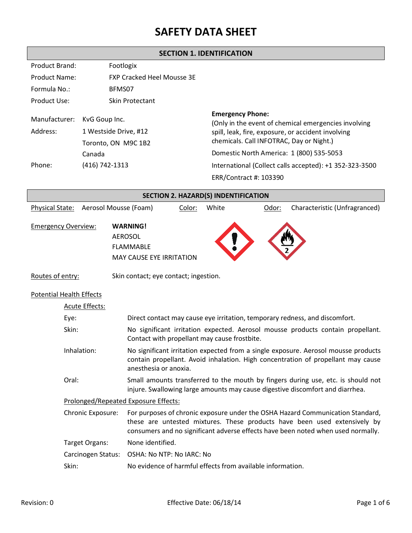**SECTION 1. IDENTIFICATION**

| <b>Product Brand:</b>     | Footlogix                                                     |                                                                                                                                                                                   |
|---------------------------|---------------------------------------------------------------|-----------------------------------------------------------------------------------------------------------------------------------------------------------------------------------|
| Product Name:             | <b>FXP Cracked Heel Mousse 3E</b>                             |                                                                                                                                                                                   |
| Formula No.:              | BFMS07                                                        |                                                                                                                                                                                   |
| Product Use:              | Skin Protectant                                               |                                                                                                                                                                                   |
| Manufacturer:<br>Address: | KvG Goup Inc.<br>1 Westside Drive, #12<br>Toronto, ON M9C 1B2 | <b>Emergency Phone:</b><br>(Only in the event of chemical emergencies involving<br>spill, leak, fire, exposure, or accident involving<br>chemicals. Call INFOTRAC, Day or Night.) |
|                           | Canada                                                        | Domestic North America: 1 (800) 535-5053                                                                                                                                          |
| Phone:                    | (416) 742-1313                                                | International (Collect calls accepted): +1 352-323-3500                                                                                                                           |
|                           |                                                               | ERR/Contract #: 103390                                                                                                                                                            |

|                                      | <b>SECTION 2. HAZARD(S) INDENTIFICATION</b> |                                                                                          |                                                                                                                                                                                                                                                 |       |                                                            |                                                                                                                                                                        |
|--------------------------------------|---------------------------------------------|------------------------------------------------------------------------------------------|-------------------------------------------------------------------------------------------------------------------------------------------------------------------------------------------------------------------------------------------------|-------|------------------------------------------------------------|------------------------------------------------------------------------------------------------------------------------------------------------------------------------|
| Physical State:                      |                                             | Aerosol Mousse (Foam)                                                                    | Color:                                                                                                                                                                                                                                          | White | Odor:                                                      | Characteristic (Unfragranced)                                                                                                                                          |
| <b>Emergency Overview:</b>           |                                             | <b>WARNING!</b><br><b>AEROSOL</b><br><b>FLAMMABLE</b><br><b>MAY CAUSE EYE IRRITATION</b> |                                                                                                                                                                                                                                                 |       |                                                            |                                                                                                                                                                        |
| Routes of entry:                     |                                             | Skin contact; eye contact; ingestion.                                                    |                                                                                                                                                                                                                                                 |       |                                                            |                                                                                                                                                                        |
| <b>Potential Health Effects</b>      |                                             |                                                                                          |                                                                                                                                                                                                                                                 |       |                                                            |                                                                                                                                                                        |
|                                      | Acute Effects:                              |                                                                                          |                                                                                                                                                                                                                                                 |       |                                                            |                                                                                                                                                                        |
| Eye:                                 |                                             |                                                                                          | Direct contact may cause eye irritation, temporary redness, and discomfort.                                                                                                                                                                     |       |                                                            |                                                                                                                                                                        |
|                                      | Skin:                                       | Contact with propellant may cause frostbite.                                             |                                                                                                                                                                                                                                                 |       |                                                            | No significant irritation expected. Aerosol mousse products contain propellant.                                                                                        |
|                                      | Inhalation:                                 | anesthesia or anoxia.                                                                    |                                                                                                                                                                                                                                                 |       |                                                            | No significant irritation expected from a single exposure. Aerosol mousse products<br>contain propellant. Avoid inhalation. High concentration of propellant may cause |
| Oral:                                |                                             |                                                                                          | Small amounts transferred to the mouth by fingers during use, etc. is should not<br>injure. Swallowing large amounts may cause digestive discomfort and diarrhea.                                                                               |       |                                                            |                                                                                                                                                                        |
| Prolonged/Repeated Exposure Effects: |                                             |                                                                                          |                                                                                                                                                                                                                                                 |       |                                                            |                                                                                                                                                                        |
| Chronic Exposure:                    |                                             |                                                                                          | For purposes of chronic exposure under the OSHA Hazard Communication Standard,<br>these are untested mixtures. These products have been used extensively by<br>consumers and no significant adverse effects have been noted when used normally. |       |                                                            |                                                                                                                                                                        |
| Target Organs:                       |                                             | None identified.                                                                         |                                                                                                                                                                                                                                                 |       |                                                            |                                                                                                                                                                        |
|                                      | Carcinogen Status:                          | OSHA: No NTP: No IARC: No                                                                |                                                                                                                                                                                                                                                 |       |                                                            |                                                                                                                                                                        |
|                                      | Skin:                                       |                                                                                          |                                                                                                                                                                                                                                                 |       | No evidence of harmful effects from available information. |                                                                                                                                                                        |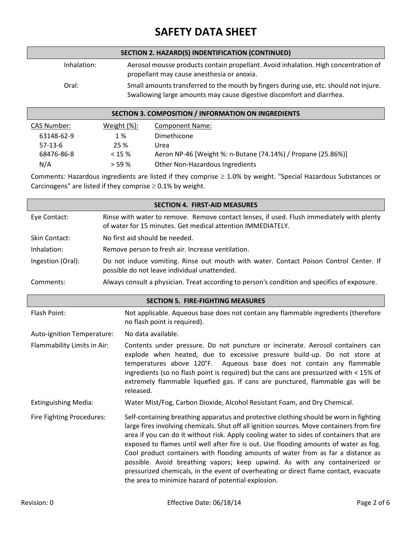|             | SECTION 2. HAZARD(S) INDENTIFICATION (CONTINUED)                                                                                                               |
|-------------|----------------------------------------------------------------------------------------------------------------------------------------------------------------|
| Inhalation: | Aerosol mousse products contain propellant. Avoid inhalation. High concentration of<br>propellant may cause anesthesia or anoxia.                              |
| Oral:       | Small amounts transferred to the mouth by fingers during use, etc. should not injure.<br>Swallowing large amounts may cause digestive discomfort and diarrhea. |

### **SECTION 3. COMPOSITION / INFORMATION ON INGREDIENTS**

| CAS Number: | Weight $(\%)$ : | <b>Component Name:</b>                                       |
|-------------|-----------------|--------------------------------------------------------------|
| 63148-62-9  | 1 %             | Dimethicone                                                  |
| $57-13-6$   | 25 %            | Urea                                                         |
| 68476-86-8  | $< 15 \%$       | Aeron NP-46 [Weight %: n-Butane (74.14%) / Propane (25.86%)] |
| N/A         | > 59%           | Other Non-Hazardous Ingredients                              |

Comments: Hazardous ingredients are listed if they comprise  $\geq 1.0\%$  by weight. "Special Hazardous Substances or Carcinogens" are listed if they comprise  $\geq 0.1\%$  by weight.

|                             |  | <b>SECTION 4. FIRST-AID MEASURES</b>                                                                                                                                                                                                                                                                                                                                                                                                                                                                                                                                                                                                                                                      |
|-----------------------------|--|-------------------------------------------------------------------------------------------------------------------------------------------------------------------------------------------------------------------------------------------------------------------------------------------------------------------------------------------------------------------------------------------------------------------------------------------------------------------------------------------------------------------------------------------------------------------------------------------------------------------------------------------------------------------------------------------|
| Eye Contact:                |  | Rinse with water to remove. Remove contact lenses, if used. Flush immediately with plenty<br>of water for 15 minutes. Get medical attention IMMEDIATELY.                                                                                                                                                                                                                                                                                                                                                                                                                                                                                                                                  |
| Skin Contact:               |  | No first aid should be needed.                                                                                                                                                                                                                                                                                                                                                                                                                                                                                                                                                                                                                                                            |
| Inhalation:                 |  | Remove person to fresh air. Increase ventilation.                                                                                                                                                                                                                                                                                                                                                                                                                                                                                                                                                                                                                                         |
| Ingestion (Oral):           |  | Do not induce vomiting. Rinse out mouth with water. Contact Poison Control Center. If<br>possible do not leave individual unattended.                                                                                                                                                                                                                                                                                                                                                                                                                                                                                                                                                     |
| Comments:                   |  | Always consult a physician. Treat according to person's condition and specifics of exposure.                                                                                                                                                                                                                                                                                                                                                                                                                                                                                                                                                                                              |
|                             |  | <b>SECTION 5. FIRE-FIGHTING MEASURES</b>                                                                                                                                                                                                                                                                                                                                                                                                                                                                                                                                                                                                                                                  |
| Flash Point:                |  | Not applicable. Aqueous base does not contain any flammable ingredients (therefore<br>no flash point is required).                                                                                                                                                                                                                                                                                                                                                                                                                                                                                                                                                                        |
| Auto-ignition Temperature:  |  | No data available.                                                                                                                                                                                                                                                                                                                                                                                                                                                                                                                                                                                                                                                                        |
| Flammability Limits in Air: |  | Contents under pressure. Do not puncture or incinerate. Aerosol containers can<br>explode when heated, due to excessive pressure build-up. Do not store at<br>temperatures above 120°F. Aqueous base does not contain any flammable<br>ingredients (so no flash point is required) but the cans are pressurized with < 15% of<br>extremely flammable liquefied gas. If cans are punctured, flammable gas will be<br>released.                                                                                                                                                                                                                                                             |
| <b>Extinguishing Media:</b> |  | Water Mist/Fog, Carbon Dioxide, Alcohol Resistant Foam, and Dry Chemical.                                                                                                                                                                                                                                                                                                                                                                                                                                                                                                                                                                                                                 |
| Fire Fighting Procedures:   |  | Self-containing breathing apparatus and protective clothing should be worn in fighting<br>large fires involving chemicals. Shut off all ignition sources. Move containers from fire<br>area if you can do it without risk. Apply cooling water to sides of containers that are<br>exposed to flames until well after fire is out. Use flooding amounts of water as fog.<br>Cool product containers with flooding amounts of water from as far a distance as<br>possible. Avoid breathing vapors; keep upwind. As with any containerized or<br>pressurized chemicals, in the event of overheating or direct flame contact, evacuate<br>the area to minimize hazard of potential explosion. |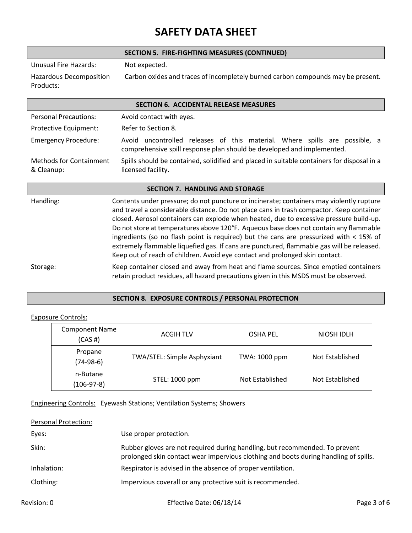|                                              | SECTION 5. FIRE-FIGHTING MEASURES (CONTINUED)                                                                                                                                                                                                                                                                                                                                                                                                                                                                                                                                                                                                     |  |
|----------------------------------------------|---------------------------------------------------------------------------------------------------------------------------------------------------------------------------------------------------------------------------------------------------------------------------------------------------------------------------------------------------------------------------------------------------------------------------------------------------------------------------------------------------------------------------------------------------------------------------------------------------------------------------------------------------|--|
| <b>Unusual Fire Hazards:</b>                 | Not expected.                                                                                                                                                                                                                                                                                                                                                                                                                                                                                                                                                                                                                                     |  |
| Hazardous Decomposition<br>Products:         | Carbon oxides and traces of incompletely burned carbon compounds may be present.                                                                                                                                                                                                                                                                                                                                                                                                                                                                                                                                                                  |  |
|                                              | <b>SECTION 6. ACCIDENTAL RELEASE MEASURES</b>                                                                                                                                                                                                                                                                                                                                                                                                                                                                                                                                                                                                     |  |
| <b>Personal Precautions:</b>                 | Avoid contact with eyes.                                                                                                                                                                                                                                                                                                                                                                                                                                                                                                                                                                                                                          |  |
| Protective Equipment:                        | Refer to Section 8.                                                                                                                                                                                                                                                                                                                                                                                                                                                                                                                                                                                                                               |  |
| <b>Emergency Procedure:</b>                  | Avoid uncontrolled releases of this material. Where spills are possible, a<br>comprehensive spill response plan should be developed and implemented.                                                                                                                                                                                                                                                                                                                                                                                                                                                                                              |  |
| <b>Methods for Containment</b><br>& Cleanup: | Spills should be contained, solidified and placed in suitable containers for disposal in a<br>licensed facility.                                                                                                                                                                                                                                                                                                                                                                                                                                                                                                                                  |  |
|                                              | <b>SECTION 7. HANDLING AND STORAGE</b>                                                                                                                                                                                                                                                                                                                                                                                                                                                                                                                                                                                                            |  |
| Handling:                                    | Contents under pressure; do not puncture or incinerate; containers may violently rupture<br>and travel a considerable distance. Do not place cans in trash compactor. Keep container<br>closed. Aerosol containers can explode when heated, due to excessive pressure build-up.<br>Do not store at temperatures above 120°F. Aqueous base does not contain any flammable<br>ingredients (so no flash point is required) but the cans are pressurized with $<$ 15% of<br>extremely flammable liquefied gas. If cans are punctured, flammable gas will be released.<br>Keep out of reach of children. Avoid eye contact and prolonged skin contact. |  |
| Storage:                                     | Keep container closed and away from heat and flame sources. Since emptied containers<br>retain product residues, all hazard precautions given in this MSDS must be observed.                                                                                                                                                                                                                                                                                                                                                                                                                                                                      |  |

### **SECTION 8. EXPOSURE CONTROLS / PERSONAL PROTECTION**

### Exposure Controls:

| <b>Component Name</b><br>$(CAS \#)$ | <b>ACGIH TLV</b>            | <b>OSHA PEL</b> | NIOSH IDLH      |
|-------------------------------------|-----------------------------|-----------------|-----------------|
| Propane<br>$(74-98-6)$              | TWA/STEL: Simple Asphyxiant | TWA: 1000 ppm   | Not Established |
| n-Butane<br>$(106-97-8)$            | STEL: 1000 ppm              | Not Established | Not Established |

#### Engineering Controls: Eyewash Stations; Ventilation Systems; Showers

| <b>Personal Protection:</b> |                                                                                                                                                                     |
|-----------------------------|---------------------------------------------------------------------------------------------------------------------------------------------------------------------|
| Eyes:                       | Use proper protection.                                                                                                                                              |
| Skin:                       | Rubber gloves are not required during handling, but recommended. To prevent<br>prolonged skin contact wear impervious clothing and boots during handling of spills. |
| Inhalation:                 | Respirator is advised in the absence of proper ventilation.                                                                                                         |
| Clothing:                   | Impervious coverall or any protective suit is recommended.                                                                                                          |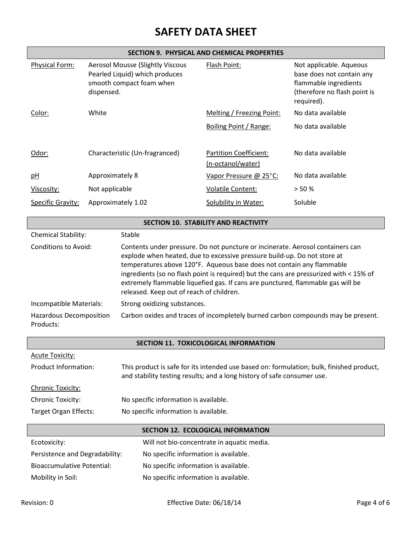### **SECTION 9. PHYSICAL AND CHEMICAL PROPERTIES**

| Physical Form:<br><b>Aerosol Mousse (Slightly Viscous</b><br>Pearled Liquid) which produces<br>smooth compact foam when<br>dispensed. |                        | Flash Point:                                                                                                                                                                                                                                                                                                                                                                                                                                                                                                                                                                     | Not applicable. Aqueous<br>base does not contain any<br>flammable ingredients<br>(therefore no flash point is<br>required). |                   |  |
|---------------------------------------------------------------------------------------------------------------------------------------|------------------------|----------------------------------------------------------------------------------------------------------------------------------------------------------------------------------------------------------------------------------------------------------------------------------------------------------------------------------------------------------------------------------------------------------------------------------------------------------------------------------------------------------------------------------------------------------------------------------|-----------------------------------------------------------------------------------------------------------------------------|-------------------|--|
| Color:                                                                                                                                | White                  |                                                                                                                                                                                                                                                                                                                                                                                                                                                                                                                                                                                  | Melting / Freezing Point:                                                                                                   | No data available |  |
|                                                                                                                                       |                        |                                                                                                                                                                                                                                                                                                                                                                                                                                                                                                                                                                                  | Boiling Point / Range:                                                                                                      | No data available |  |
| Odor:                                                                                                                                 |                        | Characteristic (Un-fragranced)                                                                                                                                                                                                                                                                                                                                                                                                                                                                                                                                                   | <b>Partition Coefficient:</b><br>(n-octanol/water)                                                                          | No data available |  |
| pH                                                                                                                                    | <b>Approximately 8</b> |                                                                                                                                                                                                                                                                                                                                                                                                                                                                                                                                                                                  | Vapor Pressure @ 25°C:                                                                                                      | No data available |  |
| Viscosity:                                                                                                                            | Not applicable         |                                                                                                                                                                                                                                                                                                                                                                                                                                                                                                                                                                                  | <b>Volatile Content:</b>                                                                                                    | > 50%             |  |
| <b>Specific Gravity:</b>                                                                                                              | Approximately 1.02     |                                                                                                                                                                                                                                                                                                                                                                                                                                                                                                                                                                                  | Solubility in Water:                                                                                                        | Soluble           |  |
|                                                                                                                                       |                        |                                                                                                                                                                                                                                                                                                                                                                                                                                                                                                                                                                                  | SECTION 10. STABILITY AND REACTIVITY                                                                                        |                   |  |
| Chemical Stability:                                                                                                                   |                        | Stable                                                                                                                                                                                                                                                                                                                                                                                                                                                                                                                                                                           |                                                                                                                             |                   |  |
| <b>Conditions to Avoid:</b><br>Incompatible Materials:<br><b>Hazardous Decomposition</b>                                              |                        | Contents under pressure. Do not puncture or incinerate. Aerosol containers can<br>explode when heated, due to excessive pressure build-up. Do not store at<br>temperatures above 120°F. Aqueous base does not contain any flammable<br>ingredients (so no flash point is required) but the cans are pressurized with < 15% of<br>extremely flammable liquefied gas. If cans are punctured, flammable gas will be<br>released. Keep out of reach of children.<br>Strong oxidizing substances.<br>Carbon oxides and traces of incompletely burned carbon compounds may be present. |                                                                                                                             |                   |  |
| Products:                                                                                                                             |                        |                                                                                                                                                                                                                                                                                                                                                                                                                                                                                                                                                                                  |                                                                                                                             |                   |  |
|                                                                                                                                       |                        |                                                                                                                                                                                                                                                                                                                                                                                                                                                                                                                                                                                  | SECTION 11. TOXICOLOGICAL INFORMATION                                                                                       |                   |  |
| <b>Acute Toxicity:</b>                                                                                                                |                        |                                                                                                                                                                                                                                                                                                                                                                                                                                                                                                                                                                                  |                                                                                                                             |                   |  |
| Product Information:                                                                                                                  |                        | This product is safe for its intended use based on: formulation; bulk, finished product,<br>and stability testing results; and a long history of safe consumer use.                                                                                                                                                                                                                                                                                                                                                                                                              |                                                                                                                             |                   |  |
| Chronic Toxicity:                                                                                                                     |                        |                                                                                                                                                                                                                                                                                                                                                                                                                                                                                                                                                                                  |                                                                                                                             |                   |  |
| <b>Chronic Toxicity:</b>                                                                                                              |                        | No specific information is available.                                                                                                                                                                                                                                                                                                                                                                                                                                                                                                                                            |                                                                                                                             |                   |  |
| Target Organ Effects:                                                                                                                 |                        | No specific information is available.                                                                                                                                                                                                                                                                                                                                                                                                                                                                                                                                            |                                                                                                                             |                   |  |
| <b>SECTION 12. ECOLOGICAL INFORMATION</b>                                                                                             |                        |                                                                                                                                                                                                                                                                                                                                                                                                                                                                                                                                                                                  |                                                                                                                             |                   |  |
| Ecotoxicity:                                                                                                                          |                        |                                                                                                                                                                                                                                                                                                                                                                                                                                                                                                                                                                                  | Will not bio-concentrate in aquatic media.                                                                                  |                   |  |
| Persistence and Degradability:                                                                                                        |                        | No specific information is available.                                                                                                                                                                                                                                                                                                                                                                                                                                                                                                                                            |                                                                                                                             |                   |  |
| <b>Bioaccumulative Potential:</b>                                                                                                     |                        | No specific information is available.                                                                                                                                                                                                                                                                                                                                                                                                                                                                                                                                            |                                                                                                                             |                   |  |
| Mobility in Soil:                                                                                                                     |                        | No specific information is available.                                                                                                                                                                                                                                                                                                                                                                                                                                                                                                                                            |                                                                                                                             |                   |  |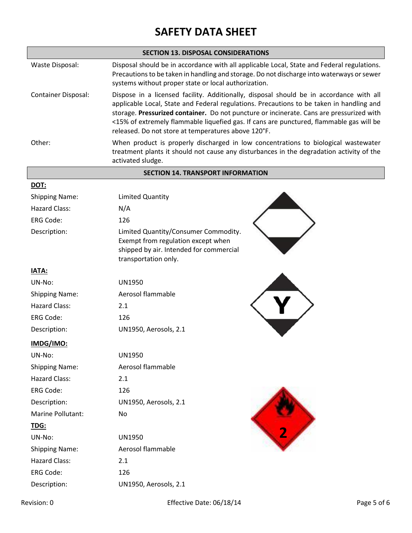|                            | <b>SECTION 13. DISPOSAL CONSIDERATIONS</b>                                                                                                                                                                                                                                                                                                                                                                                        |  |  |  |
|----------------------------|-----------------------------------------------------------------------------------------------------------------------------------------------------------------------------------------------------------------------------------------------------------------------------------------------------------------------------------------------------------------------------------------------------------------------------------|--|--|--|
| Waste Disposal:            | Disposal should be in accordance with all applicable Local, State and Federal regulations.<br>Precautions to be taken in handling and storage. Do not discharge into waterways or sewer<br>systems without proper state or local authorization.                                                                                                                                                                                   |  |  |  |
| <b>Container Disposal:</b> | Dispose in a licensed facility. Additionally, disposal should be in accordance with all<br>applicable Local, State and Federal regulations. Precautions to be taken in handling and<br>storage. Pressurized container. Do not puncture or incinerate. Cans are pressurized with<br><15% of extremely flammable liquefied gas. If cans are punctured, flammable gas will be<br>released. Do not store at temperatures above 120°F. |  |  |  |
| Other:                     | When product is properly discharged in low concentrations to biological wastewater<br>treatment plants it should not cause any disturbances in the degradation activity of the<br>activated sludge.                                                                                                                                                                                                                               |  |  |  |
|                            | <b>SECTION 14. TRANSPORT INFORMATION</b>                                                                                                                                                                                                                                                                                                                                                                                          |  |  |  |
| <b>DOT:</b>                |                                                                                                                                                                                                                                                                                                                                                                                                                                   |  |  |  |
| <b>Shipping Name:</b>      | <b>Limited Quantity</b>                                                                                                                                                                                                                                                                                                                                                                                                           |  |  |  |
| <b>Hazard Class:</b>       | N/A                                                                                                                                                                                                                                                                                                                                                                                                                               |  |  |  |
| <b>ERG Code:</b>           | 126                                                                                                                                                                                                                                                                                                                                                                                                                               |  |  |  |
| Description:               | Limited Quantity/Consumer Commodity.<br>Exempt from regulation except when<br>shipped by air. Intended for commercial<br>transportation only.                                                                                                                                                                                                                                                                                     |  |  |  |
| <b>IATA:</b>               |                                                                                                                                                                                                                                                                                                                                                                                                                                   |  |  |  |
| UN-No:                     | <b>UN1950</b>                                                                                                                                                                                                                                                                                                                                                                                                                     |  |  |  |
| <b>Shipping Name:</b>      | Aerosol flammable                                                                                                                                                                                                                                                                                                                                                                                                                 |  |  |  |
| Hazard Class:              | 2.1                                                                                                                                                                                                                                                                                                                                                                                                                               |  |  |  |
| <b>ERG Code:</b>           | 126                                                                                                                                                                                                                                                                                                                                                                                                                               |  |  |  |
| Description:               | UN1950, Aerosols, 2.1                                                                                                                                                                                                                                                                                                                                                                                                             |  |  |  |
| IMDG/IMO:                  |                                                                                                                                                                                                                                                                                                                                                                                                                                   |  |  |  |
| UN-No:                     | <b>UN1950</b>                                                                                                                                                                                                                                                                                                                                                                                                                     |  |  |  |
| <b>Shipping Name:</b>      | Aerosol flammable                                                                                                                                                                                                                                                                                                                                                                                                                 |  |  |  |
| <b>Hazard Class:</b>       | 2.1                                                                                                                                                                                                                                                                                                                                                                                                                               |  |  |  |
| <b>ERG Code:</b>           | 126                                                                                                                                                                                                                                                                                                                                                                                                                               |  |  |  |
| Description:               | UN1950, Aerosols, 2.1                                                                                                                                                                                                                                                                                                                                                                                                             |  |  |  |
| Marine Pollutant:          | No                                                                                                                                                                                                                                                                                                                                                                                                                                |  |  |  |
| <u>TDG:</u>                |                                                                                                                                                                                                                                                                                                                                                                                                                                   |  |  |  |
| UN-No:                     | UN1950                                                                                                                                                                                                                                                                                                                                                                                                                            |  |  |  |

Shipping Name: Aerosol flammable

Description: UN1950, Aerosols, 2.1

Hazard Class: 2.1 ERG Code: 126